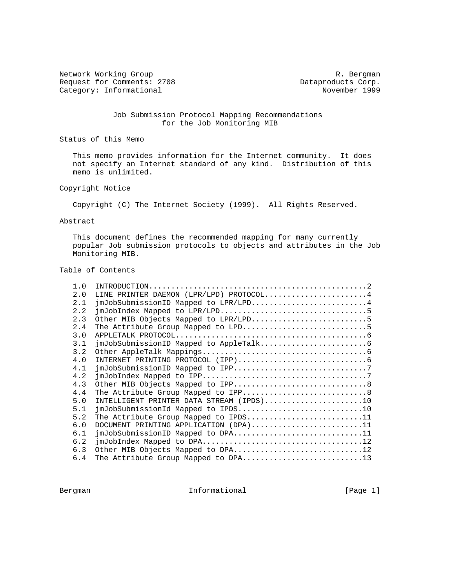Network Working Group and the set of the set of the set of the R. Bergman Request for Comments: 2708 Dataproducts Corp.<br>
Category: Informational Dataproducts Corp. Category: Informational

# Job Submission Protocol Mapping Recommendations for the Job Monitoring MIB

Status of this Memo

 This memo provides information for the Internet community. It does not specify an Internet standard of any kind. Distribution of this memo is unlimited.

Copyright Notice

Copyright (C) The Internet Society (1999). All Rights Reserved.

#### Abstract

 This document defines the recommended mapping for many currently popular Job submission protocols to objects and attributes in the Job Monitoring MIB.

# Table of Contents

| 1.0 |                                          |
|-----|------------------------------------------|
| 2.0 | LINE PRINTER DAEMON (LPR/LPD) PROTOCOL4  |
| 2.1 | jmJobSubmissionID Mapped to LPR/LPD4     |
| 2.2 |                                          |
| 2.3 | Other MIB Objects Mapped to LPR/LPD5     |
| 2.4 |                                          |
| 3.0 |                                          |
| 3.1 |                                          |
| 3.2 |                                          |
| 4.0 |                                          |
| 4.1 |                                          |
| 4.2 |                                          |
| 4.3 |                                          |
| 4.4 |                                          |
| 5.0 | INTELLIGENT PRINTER DATA STREAM (IPDS)10 |
| 5.1 | jmJobSubmissionId Mapped to IPDS10       |
| 5.2 | The Attribute Group Mapped to IPDS11     |
| 6.0 | DOCUMENT PRINTING APPLICATION (DPA)11    |
| 6.1 | jmJobSubmissionID Mapped to DPA11        |
| 6.2 |                                          |
| 6.3 | Other MIB Objects Mapped to DPA12        |
| 6.4 | The Attribute Group Mapped to DPA13      |

Bergman 10 Informational 1999 [Page 1]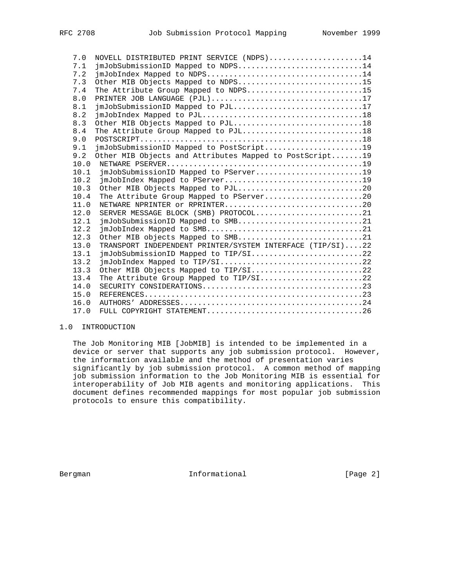| 7.0  |                                                                                                                                          |
|------|------------------------------------------------------------------------------------------------------------------------------------------|
|      | NOVELL DISTRIBUTED PRINT SERVICE (NDPS)14                                                                                                |
| 7.1  | jmJobSubmissionID Mapped to NDPS14                                                                                                       |
| 7.2  | $\text{imJoblndex Mapped to NDFS} \dots \dots \dots \dots \dots \dots \dots \dots \dots \dots \dots \dots \dots \dots \dots \dots \dots$ |
| 7.3  | Other MIB Objects Mapped to NDPS15                                                                                                       |
| 7.4  | The Attribute Group Mapped to NDPS15                                                                                                     |
| 8.0  | PRINTER JOB LANGUAGE (PJL)17                                                                                                             |
| 8.1  | jmJobSubmissionID Mapped to PJL17                                                                                                        |
| 8.2  |                                                                                                                                          |
| 8.3  | Other MIB Objects Mapped to PJL18                                                                                                        |
| 8.4  | The Attribute Group Mapped to PJL18                                                                                                      |
| 9.0  |                                                                                                                                          |
| 9.1  | jmJobSubmissionID Mapped to PostScript19                                                                                                 |
| 9.2  | Other MIB Objects and Attributes Mapped to PostScript19                                                                                  |
| 10.0 |                                                                                                                                          |
| 10.1 | jmJobSubmissionID Mapped to PServer19                                                                                                    |
| 10.2 |                                                                                                                                          |
| 10.3 | Other MIB Objects Mapped to PJL20                                                                                                        |
| 10.4 | The Attribute Group Mapped to PServer20                                                                                                  |
| 11.0 | NETWARE NPRINTER or RPRINTER20                                                                                                           |
| 12.0 | SERVER MESSAGE BLOCK (SMB) PROTOCOL21                                                                                                    |
| 12.1 | jmJobSubmissionID Mapped to SMB21                                                                                                        |
| 12.2 |                                                                                                                                          |
| 12.3 | Other MIB objects Mapped to SMB21                                                                                                        |
| 13.0 | TRANSPORT INDEPENDENT PRINTER/SYSTEM INTERFACE (TIP/SI)22                                                                                |
| 13.1 | jmJobSubmissionID Mapped to TIP/SI22                                                                                                     |
| 13.2 |                                                                                                                                          |
| 13.3 | Other MIB Objects Mapped to TIP/SI22                                                                                                     |
| 13.4 |                                                                                                                                          |
| 14.0 |                                                                                                                                          |
| 15.0 |                                                                                                                                          |
| 16.0 |                                                                                                                                          |
| 17.0 |                                                                                                                                          |
|      |                                                                                                                                          |

# 1.0 INTRODUCTION

 The Job Monitoring MIB [JobMIB] is intended to be implemented in a device or server that supports any job submission protocol. However, the information available and the method of presentation varies significantly by job submission protocol. A common method of mapping job submission information to the Job Monitoring MIB is essential for interoperability of Job MIB agents and monitoring applications. This document defines recommended mappings for most popular job submission protocols to ensure this compatibility.

Bergman 1nformational [Page 2]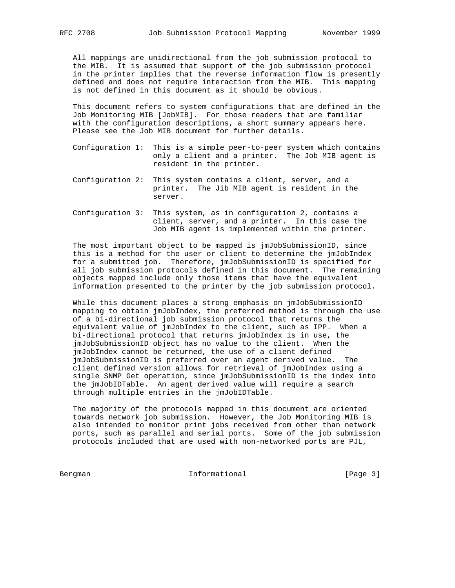All mappings are unidirectional from the job submission protocol to the MIB. It is assumed that support of the job submission protocol in the printer implies that the reverse information flow is presently defined and does not require interaction from the MIB. This mapping is not defined in this document as it should be obvious.

 This document refers to system configurations that are defined in the Job Monitoring MIB [JobMIB]. For those readers that are familiar with the configuration descriptions, a short summary appears here. Please see the Job MIB document for further details.

- Configuration 1: This is a simple peer-to-peer system which contains only a client and a printer. The Job MIB agent is resident in the printer.
- Configuration 2: This system contains a client, server, and a printer. The Jib MIB agent is resident in the server.
- Configuration 3: This system, as in configuration 2, contains a client, server, and a printer. In this case the Job MIB agent is implemented within the printer.

 The most important object to be mapped is jmJobSubmissionID, since this is a method for the user or client to determine the jmJobIndex for a submitted job. Therefore, jmJobSubmissionID is specified for all job submission protocols defined in this document. The remaining objects mapped include only those items that have the equivalent information presented to the printer by the job submission protocol.

 While this document places a strong emphasis on jmJobSubmissionID mapping to obtain jmJobIndex, the preferred method is through the use of a bi-directional job submission protocol that returns the equivalent value of jmJobIndex to the client, such as IPP. When a bi-directional protocol that returns jmJobIndex is in use, the jmJobSubmissionID object has no value to the client. When the jmJobIndex cannot be returned, the use of a client defined jmJobSubmissionID is preferred over an agent derived value. The client defined version allows for retrieval of jmJobIndex using a single SNMP Get operation, since jmJobSubmissionID is the index into the jmJobIDTable. An agent derived value will require a search through multiple entries in the jmJobIDTable.

 The majority of the protocols mapped in this document are oriented towards network job submission. However, the Job Monitoring MIB is also intended to monitor print jobs received from other than network ports, such as parallel and serial ports. Some of the job submission protocols included that are used with non-networked ports are PJL,

Bergman Informational [Page 3]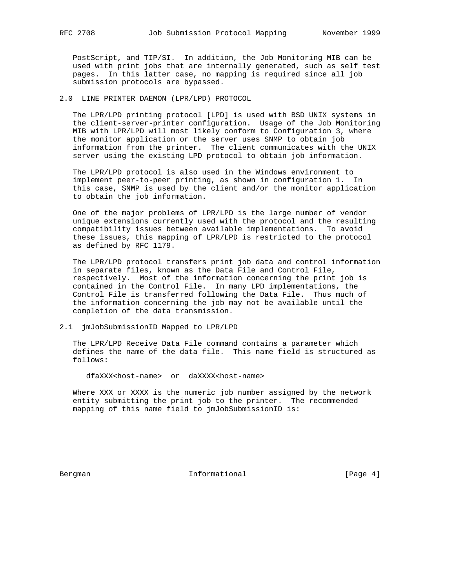PostScript, and TIP/SI. In addition, the Job Monitoring MIB can be used with print jobs that are internally generated, such as self test pages. In this latter case, no mapping is required since all job submission protocols are bypassed.

## 2.0 LINE PRINTER DAEMON (LPR/LPD) PROTOCOL

 The LPR/LPD printing protocol [LPD] is used with BSD UNIX systems in the client-server-printer configuration. Usage of the Job Monitoring MIB with LPR/LPD will most likely conform to Configuration 3, where the monitor application or the server uses SNMP to obtain job information from the printer. The client communicates with the UNIX server using the existing LPD protocol to obtain job information.

 The LPR/LPD protocol is also used in the Windows environment to implement peer-to-peer printing, as shown in configuration 1. In this case, SNMP is used by the client and/or the monitor application to obtain the job information.

 One of the major problems of LPR/LPD is the large number of vendor unique extensions currently used with the protocol and the resulting compatibility issues between available implementations. To avoid these issues, this mapping of LPR/LPD is restricted to the protocol as defined by RFC 1179.

 The LPR/LPD protocol transfers print job data and control information in separate files, known as the Data File and Control File, respectively. Most of the information concerning the print job is contained in the Control File. In many LPD implementations, the Control File is transferred following the Data File. Thus much of the information concerning the job may not be available until the completion of the data transmission.

## 2.1 jmJobSubmissionID Mapped to LPR/LPD

 The LPR/LPD Receive Data File command contains a parameter which defines the name of the data file. This name field is structured as follows:

dfaXXX<host-name> or daXXXX<host-name>

 Where XXX or XXXX is the numeric job number assigned by the network entity submitting the print job to the printer. The recommended mapping of this name field to jmJobSubmissionID is:

Bergman Informational [Page 4]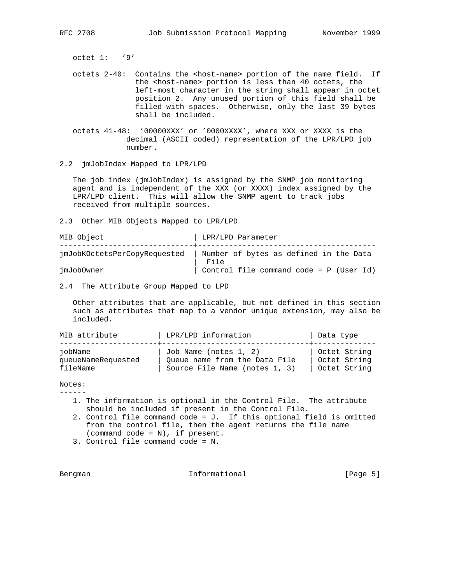octet 1: '9'

- octets 2-40: Contains the <host-name> portion of the name field. If the <host-name> portion is less than 40 octets, the left-most character in the string shall appear in octet position 2. Any unused portion of this field shall be filled with spaces. Otherwise, only the last 39 bytes shall be included.
- octets 41-48: '00000XXX' or '0000XXXX', where XXX or XXXX is the decimal (ASCII coded) representation of the LPR/LPD job number.
- 2.2 jmJobIndex Mapped to LPR/LPD

 The job index (jmJobIndex) is assigned by the SNMP job monitoring agent and is independent of the XXX (or XXXX) index assigned by the LPR/LPD client. This will allow the SNMP agent to track jobs received from multiple sources.

2.3 Other MIB Objects Mapped to LPR/LPD

| MIB Object                   | LPR/LPD Parameter                              |
|------------------------------|------------------------------------------------|
| jmJobKOctetsPerCopyRequested | Number of bytes as defined in the Data<br>File |
| jmJobOwner                   | Control file command code = P (User Id)        |

2.4 The Attribute Group Mapped to LPD

 Other attributes that are applicable, but not defined in this section such as attributes that map to a vendor unique extension, may also be included.

| MIB attribute      | LPR/LPD information           | Data type    |
|--------------------|-------------------------------|--------------|
| iobName            | Job Name (notes 1, 2)         | Octet String |
| queueNameRequested | Oueue name from the Data File | Octet String |
| fileName           | Source File Name (notes 1, 3) | Octet String |

### Notes:

------

- 1. The information is optional in the Control File. The attribute should be included if present in the Control File.
- 2. Control file command code = J. If this optional field is omitted from the control file, then the agent returns the file name (command code = N), if present.
- 3. Control file command code = N.

Bergman **Informational Informational** [Page 5]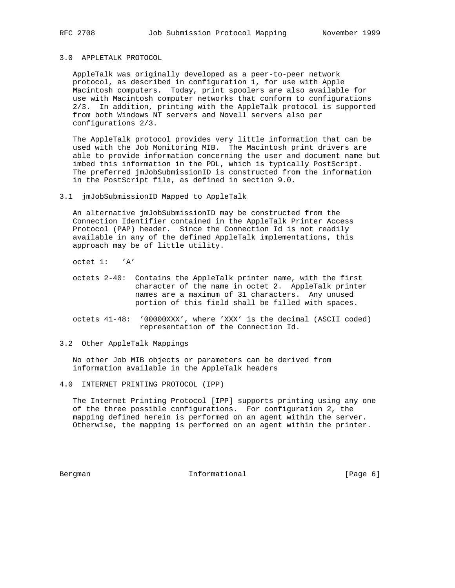# 3.0 APPLETALK PROTOCOL

 AppleTalk was originally developed as a peer-to-peer network protocol, as described in configuration 1, for use with Apple Macintosh computers. Today, print spoolers are also available for use with Macintosh computer networks that conform to configurations 2/3. In addition, printing with the AppleTalk protocol is supported from both Windows NT servers and Novell servers also per configurations 2/3.

 The AppleTalk protocol provides very little information that can be used with the Job Monitoring MIB. The Macintosh print drivers are able to provide information concerning the user and document name but imbed this information in the PDL, which is typically PostScript. The preferred jmJobSubmissionID is constructed from the information in the PostScript file, as defined in section 9.0.

3.1 jmJobSubmissionID Mapped to AppleTalk

 An alternative jmJobSubmissionID may be constructed from the Connection Identifier contained in the AppleTalk Printer Access Protocol (PAP) header. Since the Connection Id is not readily available in any of the defined AppleTalk implementations, this approach may be of little utility.

octet 1: 'A'

- octets 2-40: Contains the AppleTalk printer name, with the first character of the name in octet 2. AppleTalk printer names are a maximum of 31 characters. Any unused portion of this field shall be filled with spaces.
- octets 41-48: '00000XXX', where 'XXX' is the decimal (ASCII coded) representation of the Connection Id.
- 3.2 Other AppleTalk Mappings

 No other Job MIB objects or parameters can be derived from information available in the AppleTalk headers

 The Internet Printing Protocol [IPP] supports printing using any one of the three possible configurations. For configuration 2, the mapping defined herein is performed on an agent within the server. Otherwise, the mapping is performed on an agent within the printer.

Bergman **Informational Informational** [Page 6]

<sup>4.0</sup> INTERNET PRINTING PROTOCOL (IPP)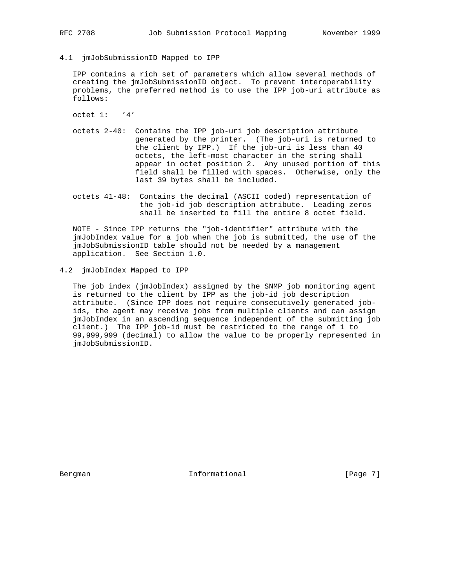4.1 jmJobSubmissionID Mapped to IPP

 IPP contains a rich set of parameters which allow several methods of creating the jmJobSubmissionID object. To prevent interoperability problems, the preferred method is to use the IPP job-uri attribute as follows:

octet 1: '4'

- octets 2-40: Contains the IPP job-uri job description attribute generated by the printer. (The job-uri is returned to the client by IPP.) If the job-uri is less than 40 octets, the left-most character in the string shall appear in octet position 2. Any unused portion of this field shall be filled with spaces. Otherwise, only the last 39 bytes shall be included.
- octets 41-48: Contains the decimal (ASCII coded) representation of the job-id job description attribute. Leading zeros shall be inserted to fill the entire 8 octet field.

 NOTE - Since IPP returns the "job-identifier" attribute with the jmJobIndex value for a job when the job is submitted, the use of the jmJobSubmissionID table should not be needed by a management application. See Section 1.0.

4.2 jmJobIndex Mapped to IPP

 The job index (jmJobIndex) assigned by the SNMP job monitoring agent is returned to the client by IPP as the job-id job description attribute. (Since IPP does not require consecutively generated job ids, the agent may receive jobs from multiple clients and can assign jmJobIndex in an ascending sequence independent of the submitting job client.) The IPP job-id must be restricted to the range of 1 to 99,999,999 (decimal) to allow the value to be properly represented in jmJobSubmissionID.

Bergman **Informational Informational** [Page 7]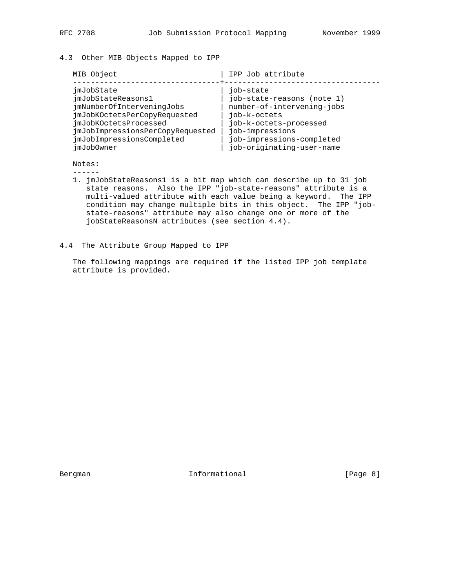# 4.3 Other MIB Objects Mapped to IPP

| MIB Object                                                                                                                                                                                            | IPP Job attribute                                                                                                                                                                            |
|-------------------------------------------------------------------------------------------------------------------------------------------------------------------------------------------------------|----------------------------------------------------------------------------------------------------------------------------------------------------------------------------------------------|
| jmJobState<br>jmJobStateReasons1<br>jmNumberOfInterveningJobs<br>jmJobKOctetsPerCopyRequested<br>jmJobKOctetsProcessed<br>jmJobImpressionsPerCopyRequested<br>jmJobImpressionsCompleted<br>jmJob0wner | job-state<br>job-state-reasons (note 1)<br>number-of-intervening-jobs<br>job-k-octets<br>job-k-octets-processed<br>job-impressions<br>job-impressions-completed<br>job-originating-user-name |

Notes:

------

- 1. jmJobStateReasons1 is a bit map which can describe up to 31 job state reasons. Also the IPP "job-state-reasons" attribute is a multi-valued attribute with each value being a keyword. The IPP condition may change multiple bits in this object. The IPP "job state-reasons" attribute may also change one or more of the jobStateReasonsN attributes (see section 4.4).
- 4.4 The Attribute Group Mapped to IPP

 The following mappings are required if the listed IPP job template attribute is provided.

Bergman 1nformational [Page 8]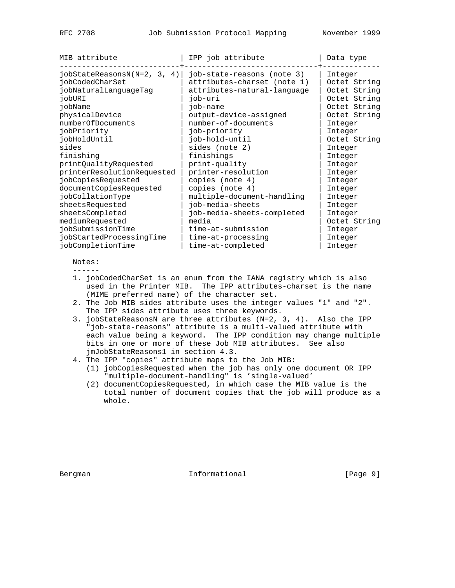| MIB attribute                                                                                                                                                                                                                                     | IPP job attribute                                                                                                                                                                                                                                                         | Data type                                                                                                                                                                 |
|---------------------------------------------------------------------------------------------------------------------------------------------------------------------------------------------------------------------------------------------------|---------------------------------------------------------------------------------------------------------------------------------------------------------------------------------------------------------------------------------------------------------------------------|---------------------------------------------------------------------------------------------------------------------------------------------------------------------------|
| $jobStateReasonsN(N=2, 3, 4)$<br>jobCodedCharSet<br>jobNaturalLanguageTag<br>iobURI<br>jobName<br>physicalDevice<br>numberOfDocuments<br>jobPriority<br>jobHoldUntil<br>sides<br>finishing<br>printQualityRequested<br>printerResolutionRequested | job-state-reasons (note 3)<br>attributes-charset (note 1)<br>attributes-natural-language<br>job-uri<br>job-name<br>output-device-assigned<br>number-of-documents<br>job-priority<br>job-hold-until<br>sides (note 2)<br>finishings<br>print-quality<br>printer-resolution | Integer<br>Octet String<br>Octet String<br>Octet String<br>Octet String<br>Octet String<br>Integer<br>Integer<br>Octet String<br>Integer<br>Integer<br>Integer<br>Integer |
| jobCopiesRequested                                                                                                                                                                                                                                | copies (note 4)                                                                                                                                                                                                                                                           | Integer                                                                                                                                                                   |
| documentCopiesRequested                                                                                                                                                                                                                           | copies (note 4)                                                                                                                                                                                                                                                           | Integer                                                                                                                                                                   |
| jobCollationType                                                                                                                                                                                                                                  | multiple-document-handling                                                                                                                                                                                                                                                | Integer                                                                                                                                                                   |
| sheetsRequested                                                                                                                                                                                                                                   | job-media-sheets                                                                                                                                                                                                                                                          | Integer                                                                                                                                                                   |
| sheetsCompleted                                                                                                                                                                                                                                   | job-media-sheets-completed                                                                                                                                                                                                                                                | Integer                                                                                                                                                                   |
| mediumRequested                                                                                                                                                                                                                                   | media                                                                                                                                                                                                                                                                     | Octet String                                                                                                                                                              |
| iobSubmissionTime                                                                                                                                                                                                                                 | time-at-submission                                                                                                                                                                                                                                                        | Integer                                                                                                                                                                   |
| jobStartedProcessingTime                                                                                                                                                                                                                          | time-at-processing                                                                                                                                                                                                                                                        | Integer                                                                                                                                                                   |
| jobCompletionTime                                                                                                                                                                                                                                 | time-at-completed                                                                                                                                                                                                                                                         | Integer                                                                                                                                                                   |

Notes:

- ------
- 1. jobCodedCharSet is an enum from the IANA registry which is also used in the Printer MIB. The IPP attributes-charset is the name (MIME preferred name) of the character set.
- 2. The Job MIB sides attribute uses the integer values "1" and "2". The IPP sides attribute uses three keywords.
- 3. jobStateReasonsN are three attributes (N=2, 3, 4). Also the IPP "job-state-reasons" attribute is a multi-valued attribute with each value being a keyword. The IPP condition may change multiple bits in one or more of these Job MIB attributes. See also jmJobStateReasons1 in section 4.3.
- 4. The IPP "copies" attribute maps to the Job MIB:
	- (1) jobCopiesRequested when the job has only one document OR IPP "multiple-document-handling" is 'single-valued'
	- (2) documentCopiesRequested, in which case the MIB value is the total number of document copies that the job will produce as a whole.

Bergman 10 Informational 1999 [Page 9]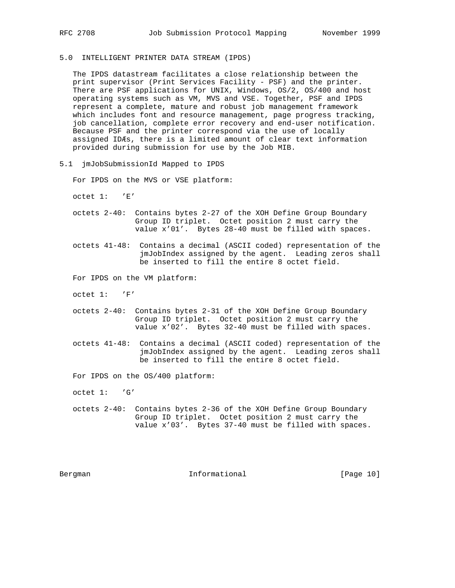# 5.0 INTELLIGENT PRINTER DATA STREAM (IPDS)

 The IPDS datastream facilitates a close relationship between the print supervisor (Print Services Facility - PSF) and the printer. There are PSF applications for UNIX, Windows, OS/2, OS/400 and host operating systems such as VM, MVS and VSE. Together, PSF and IPDS represent a complete, mature and robust job management framework which includes font and resource management, page progress tracking, job cancellation, complete error recovery and end-user notification. Because PSF and the printer correspond via the use of locally assigned IDÆs, there is a limited amount of clear text information provided during submission for use by the Job MIB.

5.1 jmJobSubmissionId Mapped to IPDS

For IPDS on the MVS or VSE platform:

octet 1: 'E'

- octets 2-40: Contains bytes 2-27 of the XOH Define Group Boundary Group ID triplet. Octet position 2 must carry the value x'01'. Bytes 28-40 must be filled with spaces.
- octets 41-48: Contains a decimal (ASCII coded) representation of the jmJobIndex assigned by the agent. Leading zeros shall be inserted to fill the entire 8 octet field.

For IPDS on the VM platform:

- octet 1: 'F'
- octets 2-40: Contains bytes 2-31 of the XOH Define Group Boundary Group ID triplet. Octet position 2 must carry the value x'02'. Bytes 32-40 must be filled with spaces.
- octets 41-48: Contains a decimal (ASCII coded) representation of the jmJobIndex assigned by the agent. Leading zeros shall be inserted to fill the entire 8 octet field.

For IPDS on the OS/400 platform:

octet 1: 'G'

 octets 2-40: Contains bytes 2-36 of the XOH Define Group Boundary Group ID triplet. Octet position 2 must carry the value x'03'. Bytes 37-40 must be filled with spaces.

Bergman 10 Informational [Page 10]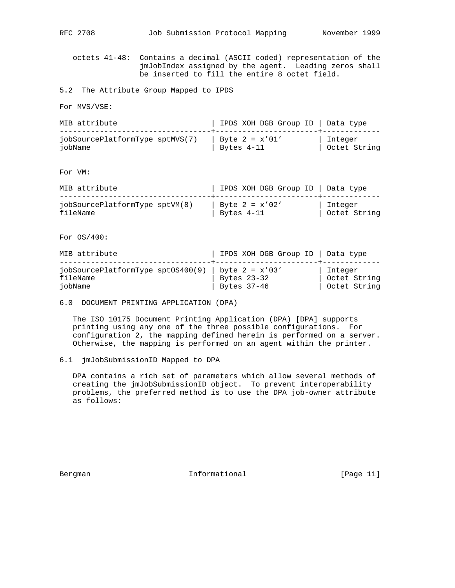RFC 2708 Job Submission Protocol Mapping November 1999

 octets 41-48: Contains a decimal (ASCII coded) representation of the jmJobIndex assigned by the agent. Leading zeros shall be inserted to fill the entire 8 octet field.

5.2 The Attribute Group Mapped to IPDS

For MVS/VSE:

| MIB attribute                   | IPDS XOH DGB Group ID   Data type |              |
|---------------------------------|-----------------------------------|--------------|
| jobSourcePlatformType sptMVS(7) | Byte $2 = x'01'$                  | Integer      |
| iobName                         | Bytes 4-11                        | Octet String |

For VM:

| MIB attribute                              | IPDS XOH DGB Group ID   Data type   |                           |
|--------------------------------------------|-------------------------------------|---------------------------|
| jobSourcePlatformType sptVM(8)<br>fileName | Byte $2 = x'02'$<br>$^+$ Bytes 4-11 | Integer<br>  Octet String |

For OS/400:

| MIB attribute                                                               | IPDS XOH DGB Group ID   Data type |                                         |
|-----------------------------------------------------------------------------|-----------------------------------|-----------------------------------------|
| jobSourcePlatformType sptOS400(9)   byte $2 = x'03'$<br>fileName<br>iobName | Bytes 23-32<br>Bytes $37-46$      | Integer<br>Octet String<br>Octet String |

6.0 DOCUMENT PRINTING APPLICATION (DPA)

 The ISO 10175 Document Printing Application (DPA) [DPA] supports printing using any one of the three possible configurations. For configuration 2, the mapping defined herein is performed on a server. Otherwise, the mapping is performed on an agent within the printer.

## 6.1 jmJobSubmissionID Mapped to DPA

 DPA contains a rich set of parameters which allow several methods of creating the jmJobSubmissionID object. To prevent interoperability problems, the preferred method is to use the DPA job-owner attribute as follows:

Bergman 10 1nformational [Page 11]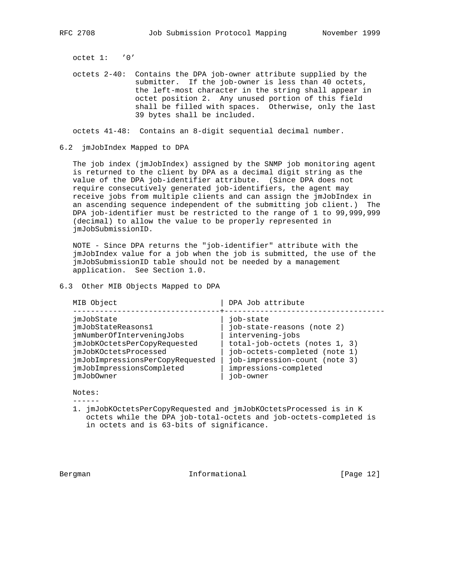octet 1: '0'

 octets 2-40: Contains the DPA job-owner attribute supplied by the submitter. If the job-owner is less than 40 octets, the left-most character in the string shall appear in octet position 2. Any unused portion of this field shall be filled with spaces. Otherwise, only the last 39 bytes shall be included.

octets 41-48: Contains an 8-digit sequential decimal number.

6.2 jmJobIndex Mapped to DPA

 The job index (jmJobIndex) assigned by the SNMP job monitoring agent is returned to the client by DPA as a decimal digit string as the value of the DPA job-identifier attribute. (Since DPA does not require consecutively generated job-identifiers, the agent may receive jobs from multiple clients and can assign the jmJobIndex in an ascending sequence independent of the submitting job client.) The DPA job-identifier must be restricted to the range of 1 to 99,999,999 (decimal) to allow the value to be properly represented in jmJobSubmissionID.

 NOTE - Since DPA returns the "job-identifier" attribute with the jmJobIndex value for a job when the job is submitted, the use of the jmJobSubmissionID table should not be needed by a management application. See Section 1.0.

6.3 Other MIB Objects Mapped to DPA

| MIB Object                                                                                                                                                                                            | DPA Job attribute                                                                                                                                                                                    |
|-------------------------------------------------------------------------------------------------------------------------------------------------------------------------------------------------------|------------------------------------------------------------------------------------------------------------------------------------------------------------------------------------------------------|
| jmJobState<br>jmJobStateReasons1<br>jmNumberOfInterveningJobs<br>jmJobKOctetsPerCopyRequested<br>jmJobKOctetsProcessed<br>jmJobImpressionsPerCopyRequested<br>jmJobImpressionsCompleted<br>jmJob0wner | job-state<br>job-state-reasons (note 2)<br>intervening-jobs<br>total-job-octets (notes 1, 3)<br>job-octets-completed (note 1)<br>job-impression-count (note 3)<br>impressions-completed<br>job-owner |

 Notes: ------

 1. jmJobKOctetsPerCopyRequested and jmJobKOctetsProcessed is in K octets while the DPA job-total-octets and job-octets-completed is in octets and is 63-bits of significance.

Bergman 10 Informational [Page 12]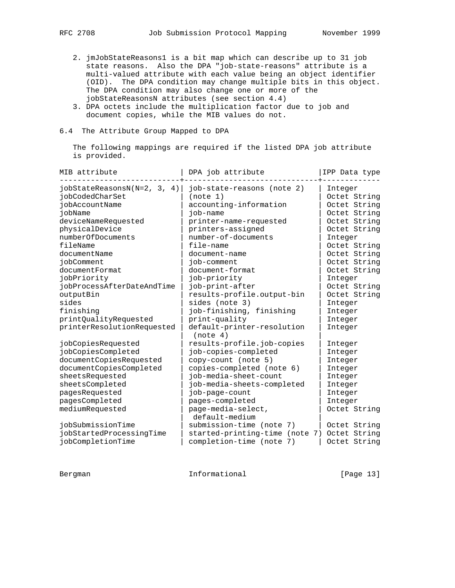- 2. jmJobStateReasons1 is a bit map which can describe up to 31 job state reasons. Also the DPA "job-state-reasons" attribute is a multi-valued attribute with each value being an object identifier (OID). The DPA condition may change multiple bits in this object. The DPA condition may also change one or more of the jobStateReasonsN attributes (see section 4.4)
- 3. DPA octets include the multiplication factor due to job and document copies, while the MIB values do not.
- 6.4 The Attribute Group Mapped to DPA

 The following mappings are required if the listed DPA job attribute is provided.

| MIB attribute                                                                                                                                                                                                                                                                                                                                  | DPA job attribute                                                                                                                                                                                                                                                                                                                                                                | IPP Data type                                                                                                                                                                                                                                             |
|------------------------------------------------------------------------------------------------------------------------------------------------------------------------------------------------------------------------------------------------------------------------------------------------------------------------------------------------|----------------------------------------------------------------------------------------------------------------------------------------------------------------------------------------------------------------------------------------------------------------------------------------------------------------------------------------------------------------------------------|-----------------------------------------------------------------------------------------------------------------------------------------------------------------------------------------------------------------------------------------------------------|
| $jobStateReasonsN(N=2, 3, 4)$<br>jobCodedCharSet<br>iobAccountName<br>jobName<br>deviceNameRequested<br>physicalDevice<br>numberOfDocuments<br>fileName<br>documentName<br>iobComment<br>documentFormat<br>jobPriority<br>jobProcessAfterDateAndTime<br>outputBin<br>sides<br>finishing<br>printQualityRequested<br>printerResolutionRequested | job-state-reasons (note 2)<br>(note 1)<br>accounting-information<br>job-name<br>printer-name-requested<br>printers-assigned<br>number-of-documents<br>file-name<br>document-name<br>iob-comment<br>document-format<br>job-priority<br>job-print-after<br>results-profile.output-bin<br>sides (note 3)<br>job-finishing, finishing<br>print-quality<br>default-printer-resolution | Integer<br>Octet String<br>Octet String<br>Octet String<br>Octet String<br>Octet String<br>Integer<br>Octet String<br>Octet String<br>Octet String<br>Octet String<br>Integer<br>Octet String<br>Octet String<br>Integer<br>Integer<br>Integer<br>Integer |
| jobCopiesRequested<br>jobCopiesCompleted<br>documentCopiesRequested<br>documentCopiesCompleted<br>sheetsRequested<br>sheetsCompleted<br>pagesRequested<br>pagesCompleted<br>mediumRequested<br>jobSubmissionTime<br>jobStartedProcessingTime<br>jobCompletionTime                                                                              | (note 4)<br>results-profile.job-copies<br>job-copies-completed<br>copy-count (note 5)<br>copies-completed (note 6)<br>job-media-sheet-count<br>job-media-sheets-completed<br>job-page-count<br>pages-completed<br>page-media-select,<br>default-medium<br>submission-time (note 7)<br>started-printing-time (note 7)<br>completion-time (note 7)                                 | Integer<br>Integer<br>Integer<br>Integer<br>Integer<br>Integer<br>Integer<br>Integer<br>Octet String<br>Octet String<br>Octet String<br>Octet String                                                                                                      |

Bergman 10 Informational [Page 13]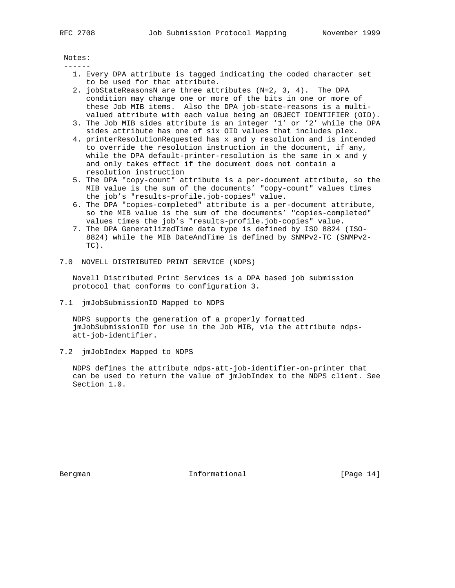Notes: ------

- 1. Every DPA attribute is tagged indicating the coded character set to be used for that attribute.
- 2. jobStateReasonsN are three attributes (N=2, 3, 4). The DPA condition may change one or more of the bits in one or more of these Job MIB items. Also the DPA job-state-reasons is a multi valued attribute with each value being an OBJECT IDENTIFIER (OID).
- 3. The Job MIB sides attribute is an integer '1' or '2' while the DPA sides attribute has one of six OID values that includes plex.
- 4. printerResolutionRequested has x and y resolution and is intended to override the resolution instruction in the document, if any, while the DPA default-printer-resolution is the same in x and y and only takes effect if the document does not contain a resolution instruction
- 5. The DPA "copy-count" attribute is a per-document attribute, so the MIB value is the sum of the documents' "copy-count" values times the job's "results-profile.job-copies" value.
- 6. The DPA "copies-completed" attribute is a per-document attribute, so the MIB value is the sum of the documents' "copies-completed" values times the job's "results-profile.job-copies" value.
- 7. The DPA GeneratlizedTime data type is defined by ISO 8824 (ISO- 8824) while the MIB DateAndTime is defined by SNMPv2-TC (SNMPv2-  $T(T)$
- 7.0 NOVELL DISTRIBUTED PRINT SERVICE (NDPS)

 Novell Distributed Print Services is a DPA based job submission protocol that conforms to configuration 3.

7.1 jmJobSubmissionID Mapped to NDPS

 NDPS supports the generation of a properly formatted jmJobSubmissionID for use in the Job MIB, via the attribute ndps att-job-identifier.

7.2 jmJobIndex Mapped to NDPS

 NDPS defines the attribute ndps-att-job-identifier-on-printer that can be used to return the value of jmJobIndex to the NDPS client. See Section 1.0.

Bergman 10 Informational [Page 14]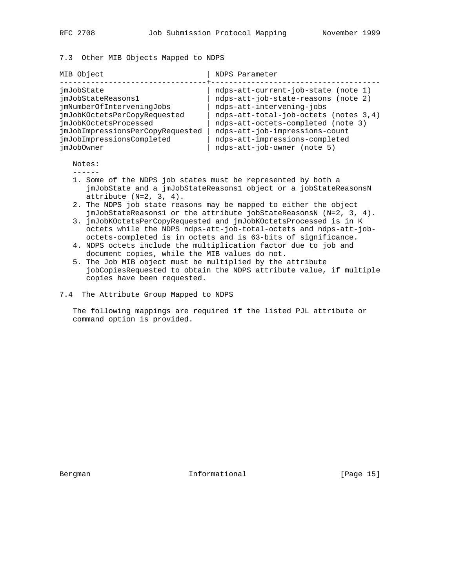7.3 Other MIB Objects Mapped to NDPS

| MIB Object                       | NDPS Parameter                        |
|----------------------------------|---------------------------------------|
| jmJobState                       | ndps-att-current-job-state (note 1)   |
| jmJobStateReasons1               | ndps-att-job-state-reasons (note 2)   |
| jmNumberOfInterveningJobs        | ndps-att-intervening-jobs             |
| jmJobKOctetsPerCopyRequested     | ndps-att-total-job-octets (notes 3,4) |
| imJobKOctetsProcessed            | ndps-att-octets-completed (note 3)    |
| jmJobImpressionsPerCopyRequested | ndps-att-job-impressions-count        |
| jmJobImpressionsCompleted        | ndps-att-impressions-completed        |
| jmJob0wner                       | ndps-att-job-owner (note 5)           |

Notes:

------

- 1. Some of the NDPS job states must be represented by both a jmJobState and a jmJobStateReasons1 object or a jobStateReasonsN attribute  $(N=2, 3, 4)$ .
- 2. The NDPS job state reasons may be mapped to either the object jmJobStateReasons1 or the attribute jobStateReasonsN (N=2, 3, 4).
- 3. jmJobKOctetsPerCopyRequested and jmJobKOctetsProcessed is in K octets while the NDPS ndps-att-job-total-octets and ndps-att-job octets-completed is in octets and is 63-bits of significance.
- 4. NDPS octets include the multiplication factor due to job and document copies, while the MIB values do not.
- 5. The Job MIB object must be multiplied by the attribute jobCopiesRequested to obtain the NDPS attribute value, if multiple copies have been requested.
- 7.4 The Attribute Group Mapped to NDPS

 The following mappings are required if the listed PJL attribute or command option is provided.

Bergman 10 Informational [Page 15]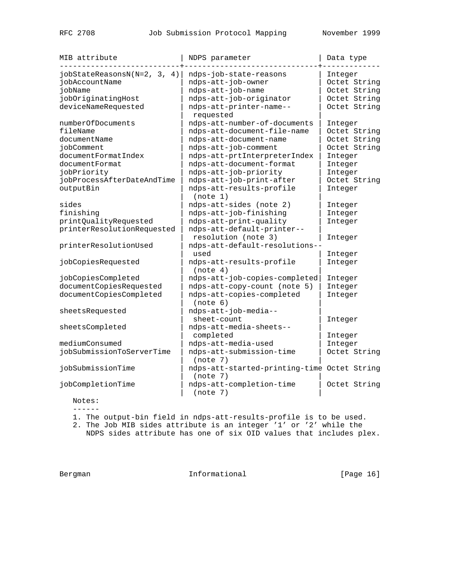| MIB attribute                                                                                           | NDPS parameter                                                                                                                       | Data type                                                               |
|---------------------------------------------------------------------------------------------------------|--------------------------------------------------------------------------------------------------------------------------------------|-------------------------------------------------------------------------|
| $jobStateReasonsN(N=2, 3, 4)$<br>jobAccountName<br>jobName<br>jobOriginatingHost<br>deviceNameRequested | ndps-job-state-reasons<br>ndps-att-job-owner<br>ndps-att-job-name<br>ndps-att-job-originator<br>ndps-att-printer-name--<br>requested | Integer<br>Octet String<br>Octet String<br>Octet String<br>Octet String |
| numberOfDocuments<br>fileName<br>documentName<br>jobComment                                             | ndps-att-number-of-documents<br>ndps-att-document-file-name<br>ndps-att-document-name<br>ndps-att-job-comment                        | Integer<br>Octet String<br>Octet String<br>Octet String                 |
| documentFormatIndex<br>documentFormat<br>jobPriority                                                    | ndps-att-prtInterpreterIndex<br>ndps-att-document-format<br>ndps-att-job-priority                                                    | Integer<br>Integer<br>Integer                                           |
| jobProcessAfterDateAndTime<br>outputBin                                                                 | ndps-att-job-print-after<br>ndps-att-results-profile<br>(note 1)                                                                     | Octet String<br>Integer                                                 |
| sides<br>finishing<br>printQualityRequested                                                             | ndps-att-sides (note 2)<br>ndps-att-job-finishing<br>ndps-att-print-quality                                                          | Integer<br>Integer<br>Integer                                           |
| printerResolutionRequested<br>printerResolutionUsed                                                     | ndps-att-default-printer--<br>resolution (note 3)<br>ndps-att-default-resolutions--                                                  | Integer                                                                 |
| jobCopiesRequested                                                                                      | used<br>ndps-att-results-profile<br>(note 4)                                                                                         | Integer<br>Integer                                                      |
| jobCopiesCompleted<br>documentCopiesRequested<br>documentCopiesCompleted                                | ndps-att-job-copies-completed<br>ndps-att-copy-count (note 5)<br>ndps-att-copies-completed<br>(note 6)                               | Integer<br>Integer<br>Integer                                           |
| sheetsRequested                                                                                         | ndps-att-job-media--<br>sheet-count                                                                                                  | Integer                                                                 |
| sheetsCompleted                                                                                         | ndps-att-media-sheets--<br>completed                                                                                                 | Integer                                                                 |
| mediumConsumed<br>jobSubmissionToServerTime                                                             | ndps-att-media-used<br>ndps-att-submission-time<br>(note 7)                                                                          | Integer<br>Octet String                                                 |
| jobSubmissionTime                                                                                       | ndps-att-started-printing-time Octet String<br>(note 7)                                                                              |                                                                         |
| jobCompletionTime                                                                                       | ndps-att-completion-time<br>(note 7)                                                                                                 | Octet String                                                            |

 Notes:  $------$ 

1. The output-bin field in ndps-att-results-profile is to be used.

2. The Job MIB sides attribute is an integer '1' or '2' while the

NDPS sides attribute has one of six OID values that includes plex.

Bergman Informational [Page 16]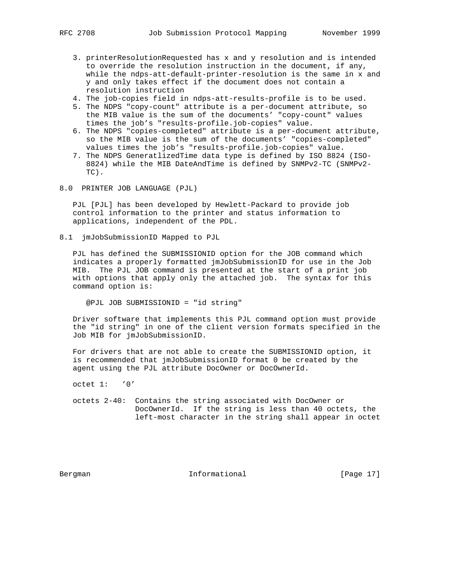- 3. printerResolutionRequested has x and y resolution and is intended to override the resolution instruction in the document, if any, while the ndps-att-default-printer-resolution is the same in x and y and only takes effect if the document does not contain a resolution instruction
- 4. The job-copies field in ndps-att-results-profile is to be used.
- 5. The NDPS "copy-count" attribute is a per-document attribute, so the MIB value is the sum of the documents' "copy-count" values times the job's "results-profile.job-copies" value.
- 6. The NDPS "copies-completed" attribute is a per-document attribute, so the MIB value is the sum of the documents' "copies-completed" values times the job's "results-profile.job-copies" value.
- 7. The NDPS GeneratlizedTime data type is defined by ISO 8824 (ISO- 8824) while the MIB DateAndTime is defined by SNMPv2-TC (SNMPv2- TC).
- 8.0 PRINTER JOB LANGUAGE (PJL)

 PJL [PJL] has been developed by Hewlett-Packard to provide job control information to the printer and status information to applications, independent of the PDL.

8.1 jmJobSubmissionID Mapped to PJL

 PJL has defined the SUBMISSIONID option for the JOB command which indicates a properly formatted jmJobSubmissionID for use in the Job MIB. The PJL JOB command is presented at the start of a print job with options that apply only the attached job. The syntax for this command option is:

@PJL JOB SUBMISSIONID = "id string"

 Driver software that implements this PJL command option must provide the "id string" in one of the client version formats specified in the Job MIB for jmJobSubmissionID.

 For drivers that are not able to create the SUBMISSIONID option, it is recommended that jmJobSubmissionID format 0 be created by the agent using the PJL attribute DocOwner or DocOwnerId.

octet 1: '0'

 octets 2-40: Contains the string associated with DocOwner or DocOwnerId. If the string is less than 40 octets, the left-most character in the string shall appear in octet

Bergman 10 Informational [Page 17]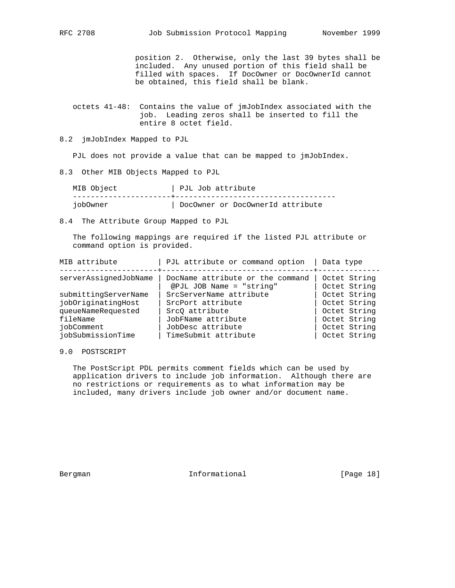position 2. Otherwise, only the last 39 bytes shall be included. Any unused portion of this field shall be filled with spaces. If DocOwner or DocOwnerId cannot be obtained, this field shall be blank.

 octets 41-48: Contains the value of jmJobIndex associated with the job. Leading zeros shall be inserted to fill the entire 8 octet field.

8.2 jmJobIndex Mapped to PJL

PJL does not provide a value that can be mapped to jmJobIndex.

8.3 Other MIB Objects Mapped to PJL

| MIB Object |  | PJL Job attribute                |  |
|------------|--|----------------------------------|--|
|            |  |                                  |  |
| iob0wner   |  | DocOwner or DocOwnerId attribute |  |

8.4 The Attribute Group Mapped to PJL

 The following mappings are required if the listed PJL attribute or command option is provided.

| MIB attribute         | PJL attribute or command option                              | Data type                    |
|-----------------------|--------------------------------------------------------------|------------------------------|
| serverAssignedJobName | DocName attribute or the command<br>@PJL JOB Name = "string" | Octet String<br>Octet String |
| submittingServerName  | SrcServerName attribute                                      | Octet String                 |
| jobOriginatingHost    | SrcPort attribute                                            | Octet String                 |
| queueNameRequested    | SrcO attribute                                               | Octet String                 |
| fileName              | JobFName attribute                                           | Octet String                 |
| iobComment            | JobDesc attribute                                            | Octet String                 |
| jobSubmissionTime     | TimeSubmit attribute                                         | Octet String                 |

# 9.0 POSTSCRIPT

 The PostScript PDL permits comment fields which can be used by application drivers to include job information. Although there are no restrictions or requirements as to what information may be included, many drivers include job owner and/or document name.

Bergman 10 Informational [Page 18]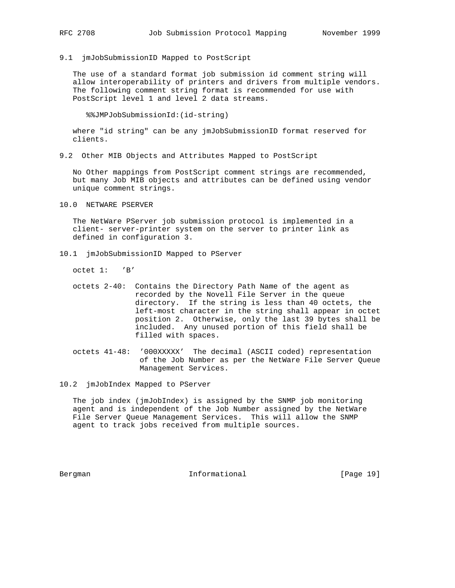9.1 jmJobSubmissionID Mapped to PostScript

 The use of a standard format job submission id comment string will allow interoperability of printers and drivers from multiple vendors. The following comment string format is recommended for use with PostScript level 1 and level 2 data streams.

%%JMPJobSubmissionId:(id-string)

 where "id string" can be any jmJobSubmissionID format reserved for clients.

9.2 Other MIB Objects and Attributes Mapped to PostScript

 No Other mappings from PostScript comment strings are recommended, but many Job MIB objects and attributes can be defined using vendor unique comment strings.

10.0 NETWARE PSERVER

 The NetWare PServer job submission protocol is implemented in a client- server-printer system on the server to printer link as defined in configuration 3.

10.1 jmJobSubmissionID Mapped to PServer

octet 1: 'B'

- octets 2-40: Contains the Directory Path Name of the agent as recorded by the Novell File Server in the queue directory. If the string is less than 40 octets, the left-most character in the string shall appear in octet position 2. Otherwise, only the last 39 bytes shall be included. Any unused portion of this field shall be filled with spaces.
- octets 41-48: '000XXXXX' The decimal (ASCII coded) representation of the Job Number as per the NetWare File Server Queue Management Services.

10.2 jmJobIndex Mapped to PServer

 The job index (jmJobIndex) is assigned by the SNMP job monitoring agent and is independent of the Job Number assigned by the NetWare File Server Queue Management Services. This will allow the SNMP agent to track jobs received from multiple sources.

Bergman Informational [Page 19]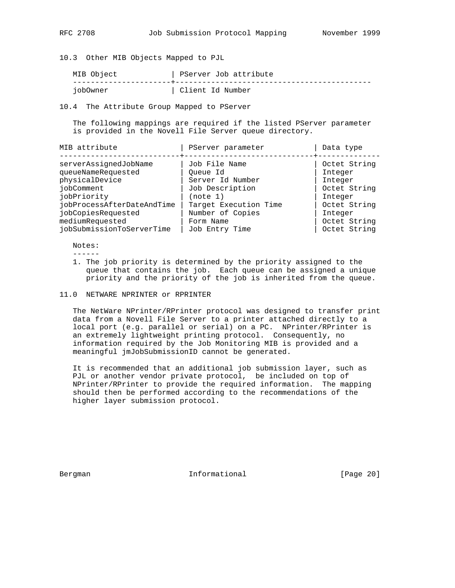10.3 Other MIB Objects Mapped to PJL

| MIB Object | PServer Job attribute |
|------------|-----------------------|
| iob0wner   | Client Id Number      |

10.4 The Attribute Group Mapped to PServer

 The following mappings are required if the listed PServer parameter is provided in the Novell File Server queue directory.

| MIB attribute              | PServer parameter     | Data type    |
|----------------------------|-----------------------|--------------|
| serverAssignedJobName      | Job File Name         | Octet String |
| queueNameRequested         |                       |              |
|                            | Oueue Id              | Integer      |
| physicalDevice             | Server Id Number      | Integer      |
| iobComment                 | Job Description       | Octet String |
| jobPriority                | (note 1)              | Integer      |
| jobProcessAfterDateAndTime | Target Execution Time | Octet String |
| jobCopiesRequested         | Number of Copies      | Integer      |
| mediumRequested            | Form Name             | Octet String |
| jobSubmissionToServerTime  | Job Entry Time        | Octet String |

Notes:

------

- 1. The job priority is determined by the priority assigned to the queue that contains the job. Each queue can be assigned a unique priority and the priority of the job is inherited from the queue.
- 11.0 NETWARE NPRINTER or RPRINTER

 The NetWare NPrinter/RPrinter protocol was designed to transfer print data from a Novell File Server to a printer attached directly to a local port (e.g. parallel or serial) on a PC. NPrinter/RPrinter is an extremely lightweight printing protocol. Consequently, no information required by the Job Monitoring MIB is provided and a meaningful jmJobSubmissionID cannot be generated.

 It is recommended that an additional job submission layer, such as PJL or another vendor private protocol, be included on top of NPrinter/RPrinter to provide the required information. The mapping should then be performed according to the recommendations of the higher layer submission protocol.

Bergman Informational [Page 20]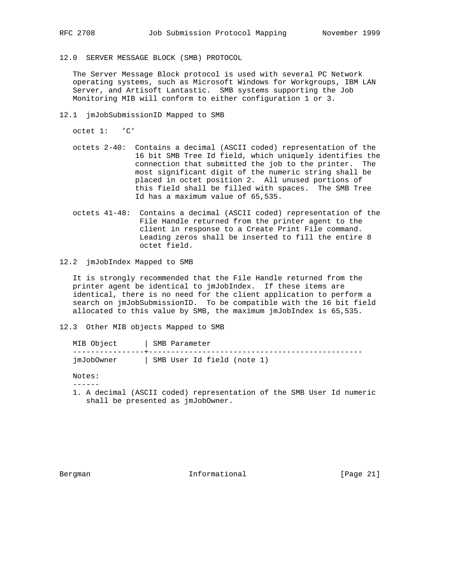12.0 SERVER MESSAGE BLOCK (SMB) PROTOCOL

 The Server Message Block protocol is used with several PC Network operating systems, such as Microsoft Windows for Workgroups, IBM LAN Server, and Artisoft Lantastic. SMB systems supporting the Job Monitoring MIB will conform to either configuration 1 or 3.

12.1 jmJobSubmissionID Mapped to SMB

octet 1: 'C'

- octets 2-40: Contains a decimal (ASCII coded) representation of the 16 bit SMB Tree Id field, which uniquely identifies the connection that submitted the job to the printer. The most significant digit of the numeric string shall be placed in octet position 2. All unused portions of this field shall be filled with spaces. The SMB Tree Id has a maximum value of 65,535.
- octets 41-48: Contains a decimal (ASCII coded) representation of the File Handle returned from the printer agent to the client in response to a Create Print File command. Leading zeros shall be inserted to fill the entire 8 octet field.
- 12.2 jmJobIndex Mapped to SMB

 It is strongly recommended that the File Handle returned from the printer agent be identical to jmJobIndex. If these items are identical, there is no need for the client application to perform a search on jmJobSubmissionID. To be compatible with the 16 bit field allocated to this value by SMB, the maximum jmJobIndex is 65,535.

12.3 Other MIB objects Mapped to SMB

| MIB Object | SMB Parameter              |
|------------|----------------------------|
| imJobOwner | SMB User Id field (note 1) |

Notes:

------

 1. A decimal (ASCII coded) representation of the SMB User Id numeric shall be presented as jmJobOwner.

Bergman 10 Informational [Page 21]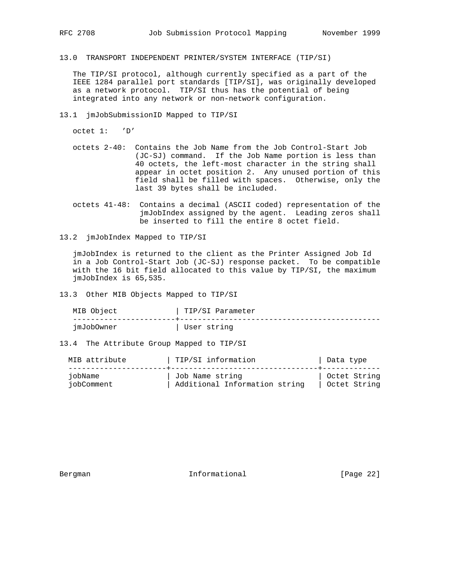13.0 TRANSPORT INDEPENDENT PRINTER/SYSTEM INTERFACE (TIP/SI)

 The TIP/SI protocol, although currently specified as a part of the IEEE 1284 parallel port standards [TIP/SI], was originally developed as a network protocol. TIP/SI thus has the potential of being integrated into any network or non-network configuration.

13.1 jmJobSubmissionID Mapped to TIP/SI

octet 1: 'D'

- octets 2-40: Contains the Job Name from the Job Control-Start Job (JC-SJ) command. If the Job Name portion is less than 40 octets, the left-most character in the string shall appear in octet position 2. Any unused portion of this field shall be filled with spaces. Otherwise, only the last 39 bytes shall be included.
- octets 41-48: Contains a decimal (ASCII coded) representation of the jmJobIndex assigned by the agent. Leading zeros shall be inserted to fill the entire 8 octet field.
- 13.2 jmJobIndex Mapped to TIP/SI

 jmJobIndex is returned to the client as the Printer Assigned Job Id in a Job Control-Start Job (JC-SJ) response packet. To be compatible with the 16 bit field allocated to this value by TIP/SI, the maximum jmJobIndex is 65,535.

13.3 Other MIB Objects Mapped to TIP/SI

| MIB Object | TIP/SI Parameter |
|------------|------------------|
| jmJobOwner | User string      |

13.4 The Attribute Group Mapped to TIP/SI

| MIB attribute | TIP/SI information            | Data type    |
|---------------|-------------------------------|--------------|
| jobName       | Job Name string               | Octet String |
| iobComment    | Additional Information string | Octet String |

Bergman 10 Informational [Page 22]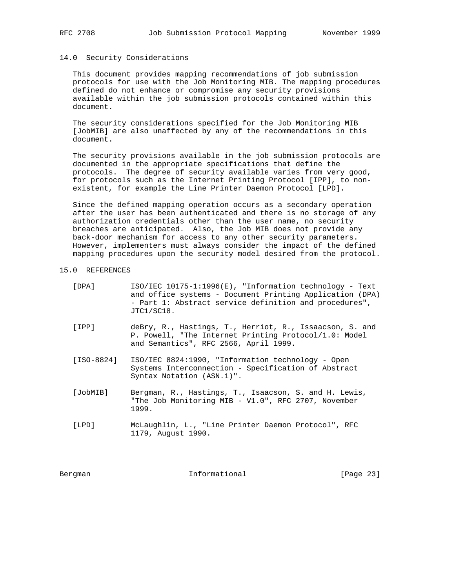14.0 Security Considerations

 This document provides mapping recommendations of job submission protocols for use with the Job Monitoring MIB. The mapping procedures defined do not enhance or compromise any security provisions available within the job submission protocols contained within this document.

 The security considerations specified for the Job Monitoring MIB [JobMIB] are also unaffected by any of the recommendations in this document.

 The security provisions available in the job submission protocols are documented in the appropriate specifications that define the protocols. The degree of security available varies from very good, for protocols such as the Internet Printing Protocol [IPP], to non existent, for example the Line Printer Daemon Protocol [LPD].

 Since the defined mapping operation occurs as a secondary operation after the user has been authenticated and there is no storage of any authorization credentials other than the user name, no security breaches are anticipated. Also, the Job MIB does not provide any back-door mechanism for access to any other security parameters. However, implementers must always consider the impact of the defined mapping procedures upon the security model desired from the protocol.

## 15.0 REFERENCES

| [DPA] | $ISO/IEC$ 10175-1:1996(E), "Information technology - Text |
|-------|-----------------------------------------------------------|
|       | and office systems - Document Printing Application (DPA)  |
|       | - Part 1: Abstract service definition and procedures",    |
|       | JTC1/SC18.                                                |

- [IPP] deBry, R., Hastings, T., Herriot, R., Issaacson, S. and P. Powell, "The Internet Printing Protocol/1.0: Model and Semantics", RFC 2566, April 1999.
- [ISO-8824] ISO/IEC 8824:1990, "Information technology Open Systems Interconnection - Specification of Abstract Syntax Notation (ASN.1)".
- [JobMIB] Bergman, R., Hastings, T., Isaacson, S. and H. Lewis, "The Job Monitoring MIB - V1.0", RFC 2707, November 1999.
- [LPD] McLaughlin, L., "Line Printer Daemon Protocol", RFC 1179, August 1990.

Bergman 10 Informational [Page 23]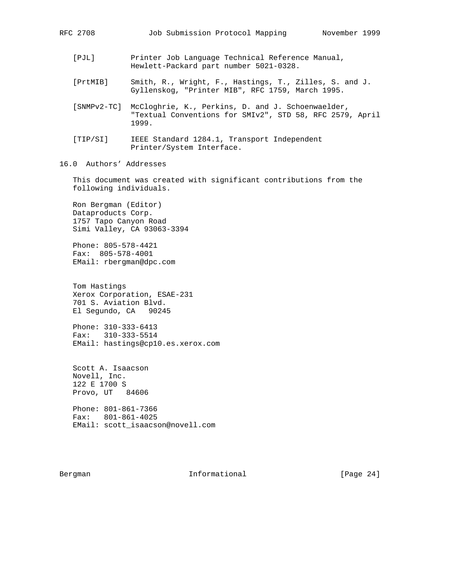- [PJL] Printer Job Language Technical Reference Manual, Hewlett-Packard part number 5021-0328.
- [PrtMIB] Smith, R., Wright, F., Hastings, T., Zilles, S. and J. Gyllenskog, "Printer MIB", RFC 1759, March 1995.
- [SNMPv2-TC] McCloghrie, K., Perkins, D. and J. Schoenwaelder, "Textual Conventions for SMIv2", STD 58, RFC 2579, April 1999.
- [TIP/SI] IEEE Standard 1284.1, Transport Independent Printer/System Interface.
- 16.0 Authors' Addresses

 This document was created with significant contributions from the following individuals.

 Ron Bergman (Editor) Dataproducts Corp. 1757 Tapo Canyon Road Simi Valley, CA 93063-3394

 Phone: 805-578-4421 Fax: 805-578-4001 EMail: rbergman@dpc.com

 Tom Hastings Xerox Corporation, ESAE-231 701 S. Aviation Blvd. El Segundo, CA 90245

 Phone: 310-333-6413 Fax: 310-333-5514 EMail: hastings@cp10.es.xerox.com

 Scott A. Isaacson Novell, Inc. 122 E 1700 S Provo, UT 84606 Phone: 801-861-7366 Fax: 801-861-4025

EMail: scott\_isaacson@novell.com

Bergman 10 Informational [Page 24]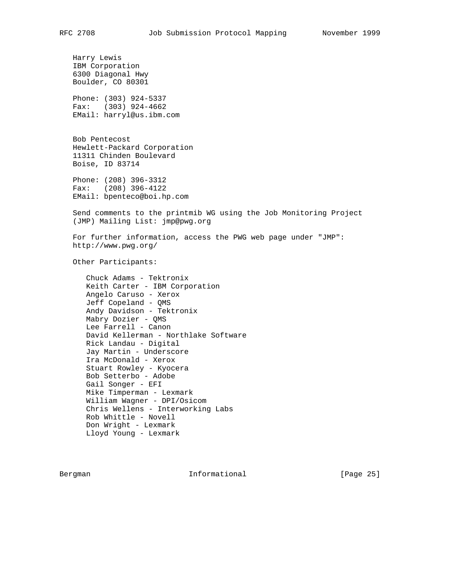Harry Lewis IBM Corporation 6300 Diagonal Hwy Boulder, CO 80301 Phone: (303) 924-5337 Fax: (303) 924-4662 EMail: harryl@us.ibm.com Bob Pentecost Hewlett-Packard Corporation 11311 Chinden Boulevard Boise, ID 83714 Phone: (208) 396-3312 Fax: (208) 396-4122 EMail: bpenteco@boi.hp.com Send comments to the printmib WG using the Job Monitoring Project (JMP) Mailing List: jmp@pwg.org For further information, access the PWG web page under "JMP": http://www.pwg.org/ Other Participants: Chuck Adams - Tektronix Keith Carter - IBM Corporation Angelo Caruso - Xerox Jeff Copeland - QMS Andy Davidson - Tektronix Mabry Dozier - QMS Lee Farrell - Canon David Kellerman - Northlake Software Rick Landau - Digital Jay Martin - Underscore Ira McDonald - Xerox Stuart Rowley - Kyocera Bob Setterbo - Adobe Gail Songer - EFI Mike Timperman - Lexmark William Wagner - DPI/Osicom Chris Wellens - Interworking Labs Rob Whittle - Novell Don Wright - Lexmark Lloyd Young - Lexmark

Bergman 10 Informational [Page 25]